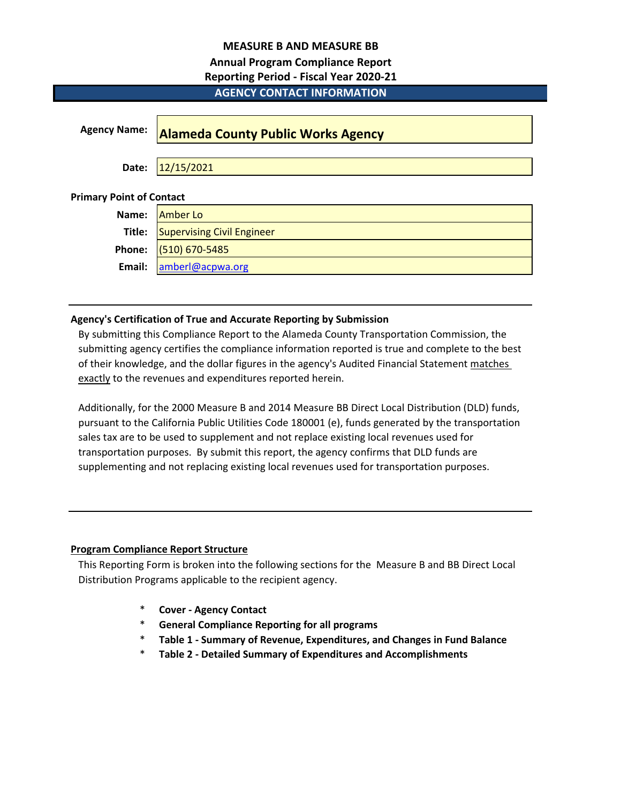# **MEASURE B AND MEASURE BB**

# **Annual Program Compliance Report**

# **Reporting Period - Fiscal Year 2020-21**

# **Agency Name: Alameda County Public Works Agency Date:** 12/15/2021 **Primary Point of Contact Name:** Amber Lo **Title:** Supervising Civil Engineer **Phone:** (510) 670-5485 **Email:** [amberl@acpwa.org](mailto:amberl@acpwa.org) **AGENCY CONTACT INFORMATION**

# **Agency's Certification of True and Accurate Reporting by Submission**

By submitting this Compliance Report to the Alameda County Transportation Commission, the submitting agency certifies the compliance information reported is true and complete to the best of their knowledge, and the dollar figures in the agency's Audited Financial Statement matches exactly to the revenues and expenditures reported herein.

Additionally, for the 2000 Measure B and 2014 Measure BB Direct Local Distribution (DLD) funds, pursuant to the California Public Utilities Code 180001 (e), funds generated by the transportation sales tax are to be used to supplement and not replace existing local revenues used for transportation purposes. By submit this report, the agency confirms that DLD funds are supplementing and not replacing existing local revenues used for transportation purposes.

# **Program Compliance Report Structure**

This Reporting Form is broken into the following sections for the Measure B and BB Direct Local Distribution Programs applicable to the recipient agency.

- \* **Cover Agency Contact**
- \* **General Compliance Reporting for all programs**
- \* **Table 1 Summary of Revenue, Expenditures, and Changes in Fund Balance**
- \* **Table 2 Detailed Summary of Expenditures and Accomplishments**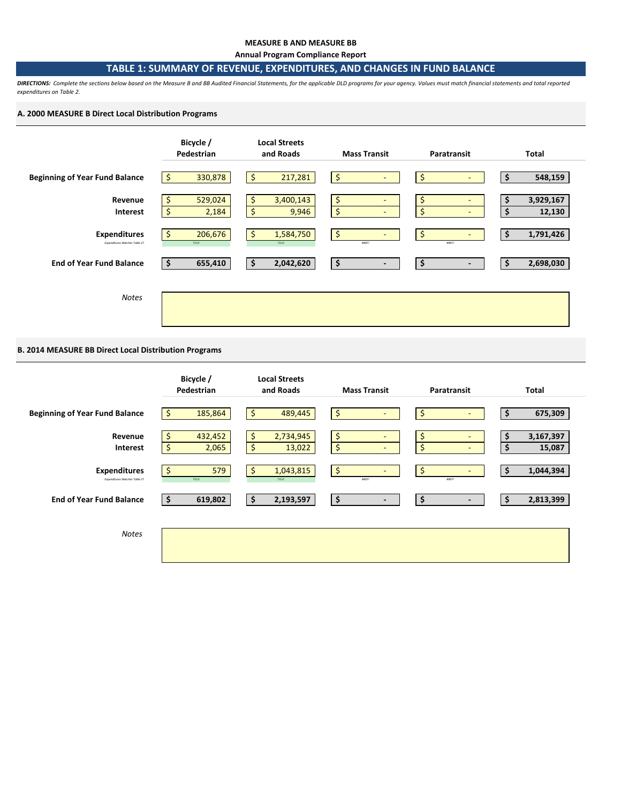#### **MEASURE B AND MEASURE BB**

**Annual Program Compliance Report**

# **TABLE 1: SUMMARY OF REVENUE, EXPENDITURES, AND CHANGES IN FUND BALANCE**

*DIRECTIONS: Complete the sections below based on the Measure B and BB Audited Financial Statements, for the applicable DLD programs for your agency. Values must match financial statements and total reported expenditures on Table 2.* 

## **A. 2000 MEASURE B Direct Local Distribution Programs**



# **B. 2014 MEASURE BB Direct Local Distribution Programs**

|                                                      | Bicycle /<br>Pedestrian     | <b>Local Streets</b><br>and Roads          | <b>Mass Transit</b>              | Paratransit                                                      | Total                     |
|------------------------------------------------------|-----------------------------|--------------------------------------------|----------------------------------|------------------------------------------------------------------|---------------------------|
| <b>Beginning of Year Fund Balance</b>                | 185,864<br>\$               | \$<br>489,445                              | \$<br>٠                          | \$<br>$\overline{\phantom{0}}$                                   | 675,309<br>\$             |
| Revenue<br><b>Interest</b>                           | 432,452<br>Ś<br>\$<br>2,065 | $\frac{1}{2}$<br>2,734,945<br>\$<br>13,022 | \$<br>٠<br>\$<br>٠               | \$<br>$\overline{\phantom{a}}$<br>\$<br>$\overline{\phantom{a}}$ | 3,167,397<br>15,087<br>\$ |
| <b>Expenditures</b><br>Expenditures Matches Table 2? | 579<br>\$.<br>TRUE          | 1,043,815<br>\$<br>TRUE                    | $\frac{1}{2}$<br>$\sim$<br>#REF! | \$<br>$\overline{\phantom{a}}$<br><b>#REF!</b>                   | 1,044,394<br>\$           |
| <b>End of Year Fund Balance</b>                      | 619,802<br>-S               | \$<br>2,193,597                            | \$<br>$\overline{\phantom{a}}$   | \$<br>$\blacksquare$                                             | 2,813,399<br>\$           |
| <b>Notes</b>                                         |                             |                                            |                                  |                                                                  |                           |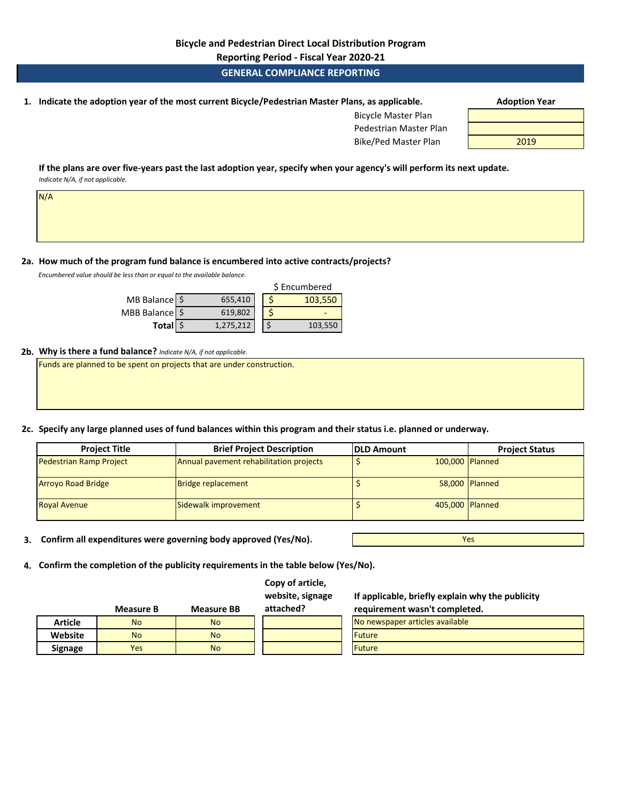**Reporting Period - Fiscal Year 2020-21**

# **GENERAL COMPLIANCE REPORTING**

**1. Adoption Year Indicate the adoption year of the most current Bicycle/Pedestrian Master Plans, as applicable.** 

| <b>Bicycle Master Plan</b> |      |
|----------------------------|------|
| Pedestrian Master Plan     |      |
| Bike/Ped Master Plan       | 2019 |

**If the plans are over five-years past the last adoption year, specify when your agency's will perform its next update.**  *Indicate N/A, if not applicable.* 

**2a. How much of the program fund balance is encumbered into active contracts/projects?** 

*Encumbered value should be less than or equal to the available balance.* 

N/A

|                  |           | \$ Encumbered |
|------------------|-----------|---------------|
| MB Balance \$    | 655,410   | 103,550       |
| MBB Balance   \$ | 619,802   |               |
| Total \$         | 1,275,212 | 103,550       |

## **2b. Why is there a fund balance?** *Indicate N/A, if not applicable.*

Funds are planned to be spent on projects that are under construction.

**2c. Specify any large planned uses of fund balances within this program and their status i.e. planned or underway.**

| <b>Project Title</b>           | <b>Brief Project Description</b>        | <b>DLD Amount</b> | <b>Project Status</b> |
|--------------------------------|-----------------------------------------|-------------------|-----------------------|
| <b>Pedestrian Ramp Project</b> | Annual pavement rehabilitation projects | 100,000 Planned   |                       |
| <b>Arroyo Road Bridge</b>      | <b>Bridge replacement</b>               |                   | 58,000 Planned        |
| <b>Royal Avenue</b>            | Sidewalk improvement                    | 405,000 Planned   |                       |

**3. Confirm all expenditures were governing body approved (Yes/No).**

**Measure B Measure BB**

Yes

**4. Confirm the completion of the publicity requirements in the table below (Yes/No).**

**Copy of article, website, signage** 

**attached?**

**If applicable, briefly explain why the publicity requirement wasn't completed.** 

|                | ivieasure <del>b</del> | ivieasure bb | allacheur | requirement wasn't completed.   |
|----------------|------------------------|--------------|-----------|---------------------------------|
| <b>Article</b> | <b>No</b>              | <b>No</b>    |           | No newspaper articles available |
| Website        | <b>No</b>              | <b>No</b>    |           | <b>Future</b>                   |
| <b>Signage</b> | Yes                    | <b>No</b>    |           | <b>Future</b>                   |
|                |                        |              |           |                                 |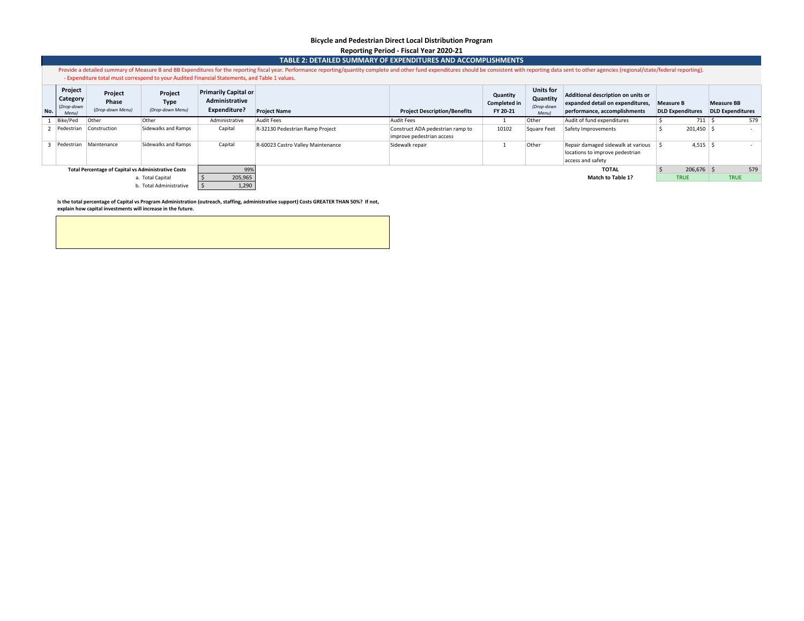#### **Bicycle and Pedestrian Direct Local Distribution Program Reporting Period - Fiscal Year 2020-21**

|              | TABLE 2: DETAILED SUMMARY OF EXPENDITURES AND ACCOMPLISHMENTS                                                                                                                                                                  |                                                            |                                            |                                                                                               |                                                                                                                                                                         |                                                               |                                                                                                        |                  |                                                                                            |                                              |              |  |             |
|--------------|--------------------------------------------------------------------------------------------------------------------------------------------------------------------------------------------------------------------------------|------------------------------------------------------------|--------------------------------------------|-----------------------------------------------------------------------------------------------|-------------------------------------------------------------------------------------------------------------------------------------------------------------------------|---------------------------------------------------------------|--------------------------------------------------------------------------------------------------------|------------------|--------------------------------------------------------------------------------------------|----------------------------------------------|--------------|--|-------------|
|              | Provide a detailed summary of Measure B and BB Expenditures for the reporting fiscal year. Performance reporting/quantity complete and other fund expenditures should be consistent with reporting data sent to other agencies |                                                            |                                            |                                                                                               |                                                                                                                                                                         |                                                               |                                                                                                        |                  |                                                                                            |                                              |              |  |             |
|              |                                                                                                                                                                                                                                |                                                            |                                            | - Expenditure total must correspond to your Audited Financial Statements, and Table 1 values. |                                                                                                                                                                         |                                                               |                                                                                                        |                  |                                                                                            |                                              |              |  |             |
|              | Project<br>Category<br>(Drop-down<br>Menu)                                                                                                                                                                                     | Project<br>Phase<br>(Drop-down Menu)                       | Project<br><b>Type</b><br>(Drop-down Menu) | <b>Primarily Capital or</b><br>Administrative<br>Expenditure?                                 | <b>Units for</b><br>Quantity<br>Quantity<br><b>Completed in</b><br>(Drop-down<br><b>Project Name</b><br><b>Project Description/Benefits</b><br>FY 20-21<br><b>Menul</b> |                                                               | Additional description on units or<br>expanded detail on expenditures,<br>performance, accomplishments | <b>Measure B</b> | <b>DLD Expenditures</b>                                                                    | <b>Measure BB</b><br><b>DLD Expenditures</b> |              |  |             |
|              | Bike/Ped                                                                                                                                                                                                                       | Other                                                      | Other                                      | Administrative                                                                                | <b>Audit Fees</b>                                                                                                                                                       | <b>Audit Fees</b>                                             |                                                                                                        | Other            | Audit of fund expenditures                                                                 |                                              | 711          |  | 579         |
|              | Pedestrian Construction                                                                                                                                                                                                        |                                                            | Sidewalks and Ramps                        | Capital                                                                                       | R-32130 Pedestrian Ramp Project                                                                                                                                         | Construct ADA pedestrian ramp to<br>improve pedestrian access | 10102                                                                                                  | Square Feet      | Safety Improvements                                                                        |                                              | $201,450$ \$ |  | $\sim$      |
| $\mathbf{R}$ | Pedestrian                                                                                                                                                                                                                     | Maintenance                                                | Sidewalks and Ramps                        | Capital                                                                                       | R-60023 Castro Valley Maintenance                                                                                                                                       | Sidewalk repair                                               |                                                                                                        | Other            | Repair damaged sidewalk at various<br>locations to improve pedestrian<br>access and safety |                                              | $4,515$ \$   |  |             |
|              |                                                                                                                                                                                                                                | <b>Total Percentage of Capital vs Administrative Costs</b> |                                            | 99%                                                                                           |                                                                                                                                                                         |                                                               |                                                                                                        |                  | <b>TOTAL</b>                                                                               |                                              | $206,676$ \$ |  | 579         |
|              |                                                                                                                                                                                                                                |                                                            | a. Total Capital                           | 205,965                                                                                       |                                                                                                                                                                         |                                                               |                                                                                                        |                  | Match to Table 1?                                                                          |                                              | <b>TRUE</b>  |  | <b>TRUE</b> |
|              | 1,290<br>b. Total Administrative                                                                                                                                                                                               |                                                            |                                            |                                                                                               |                                                                                                                                                                         |                                                               |                                                                                                        |                  |                                                                                            |                                              |              |  |             |

Is the total percentage of Capital vs Program Administration (outreach, staffing, administrative support) Costs GREATER THAN 50%? If not,<br>explain how capital investments will increase in the future.

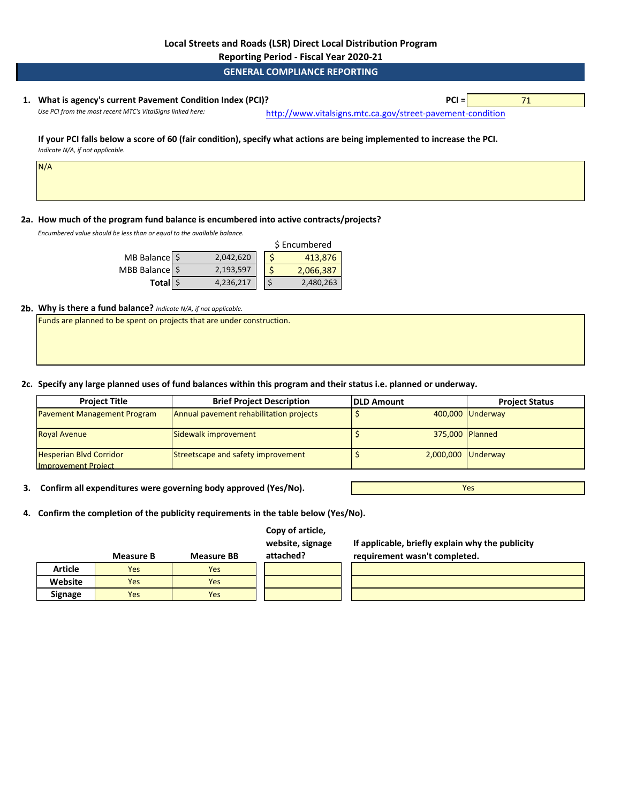**Reporting Period - Fiscal Year 2020-21**

**GENERAL COMPLIANCE REPORTING**

# **1. PCI =** 71 **What is agency's current Pavement Condition Index (PCI)?**

Use PCI from the most recent MTC's VitalSigns linked here: [http://www.vitalsig](http://www.vitalsigns.mtc.ca.gov/street-pavement-condition)ns.mtc.ca.gov/street-pavement-condition

#### **If your PCI falls below a score of 60 (fair condition), specify what actions are being implemented to increase the PCI.**  *Indicate N/A, if not applicable.*

N/A

# **2a. How much of the program fund balance is encumbered into active contracts/projects?**

*Encumbered value should be less than or equal to the available balance.* 

|                  |           | \$ Encumbered |           |  |  |
|------------------|-----------|---------------|-----------|--|--|
| MB Balance \$    | 2,042,620 |               | 413,876   |  |  |
| MBB Balance   \$ | 2,193,597 |               | 2,066,387 |  |  |
| Total \$         | 4,236,217 |               | 2,480,263 |  |  |

## **2b. Why is there a fund balance?** *Indicate N/A, if not applicable.*

Funds are planned to be spent on projects that are under construction.

**2c. Specify any large planned uses of fund balances within this program and their status i.e. planned or underway.**

| <b>Project Title</b>                                         | <b>Brief Project Description</b>        | <b>IDLD Amount</b> | <b>Project Status</b> |
|--------------------------------------------------------------|-----------------------------------------|--------------------|-----------------------|
| <b>Pavement Management Program</b>                           | Annual pavement rehabilitation projects |                    | 400,000 Underway      |
| <b>Royal Avenue</b>                                          | Sidewalk improvement                    | 375,000 Planned    |                       |
| <b>Hesperian Blvd Corridor</b><br><b>Improvement Project</b> | Streetscape and safety improvement      | 2,000,000 Underway |                       |

**3. Confirm all expenditures were governing body approved (Yes/No).**

**4. Confirm the completion of the publicity requirements in the table below (Yes/No).**

| Copy of article, |
|------------------|
| website, signage |

**If applicable, briefly explain why the publicity** 

Yes

|                | <b>Measure B</b> | <b>Measure BB</b> | attached? | requirement wasn't completed. |
|----------------|------------------|-------------------|-----------|-------------------------------|
| <b>Article</b> | <b>Yes</b>       | Yes               |           |                               |
| Website        | <b>Yes</b>       | <b>Yes</b>        |           |                               |
| <b>Signage</b> | Yes              | Yes               |           |                               |